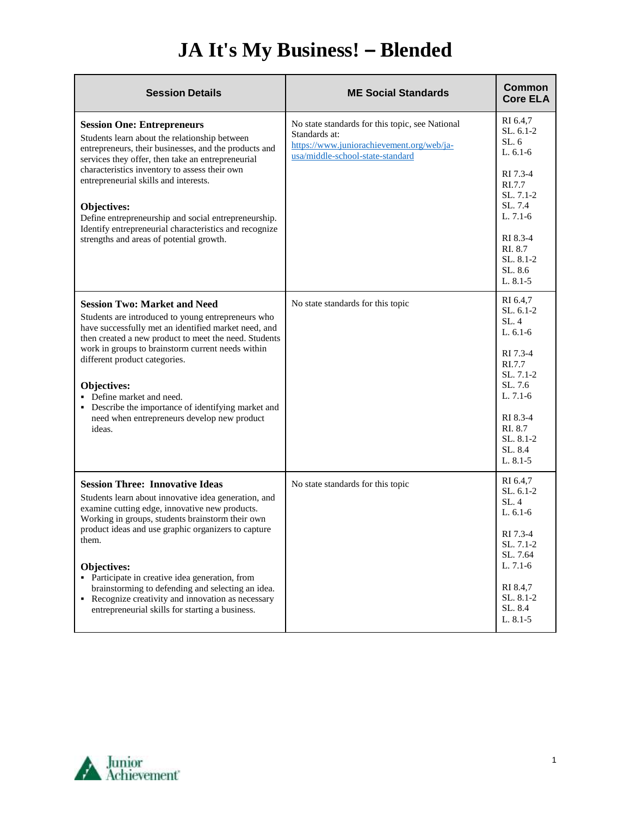## **JA It's My Business! – Blended**

| <b>Session Details</b>                                                                                                                                                                                                                                                                                                                                                                                                                                                                                      | <b>ME Social Standards</b>                                                                                                                        | Common<br><b>Core ELA</b>                                                                                                                                               |
|-------------------------------------------------------------------------------------------------------------------------------------------------------------------------------------------------------------------------------------------------------------------------------------------------------------------------------------------------------------------------------------------------------------------------------------------------------------------------------------------------------------|---------------------------------------------------------------------------------------------------------------------------------------------------|-------------------------------------------------------------------------------------------------------------------------------------------------------------------------|
| <b>Session One: Entrepreneurs</b><br>Students learn about the relationship between<br>entrepreneurs, their businesses, and the products and<br>services they offer, then take an entrepreneurial<br>characteristics inventory to assess their own<br>entrepreneurial skills and interests.<br>Objectives:<br>Define entrepreneurship and social entrepreneurship.<br>Identify entrepreneurial characteristics and recognize<br>strengths and areas of potential growth.                                     | No state standards for this topic, see National<br>Standards at:<br>https://www.juniorachievement.org/web/ja-<br>usa/middle-school-state-standard | RI 6.4,7<br>SL, 6.1-2<br>SL.6<br>$L. 6.1-6$<br>RI 7.3-4<br>RI.7.7<br>$SL. 7.1-2$<br>SL.7.4<br>$L. 7.1-6$<br>RI 8.3-4<br>RI. 8.7<br>SL, 8.1-2<br>SL. 8.6<br>$L. 8.1 - 5$ |
| <b>Session Two: Market and Need</b><br>Students are introduced to young entrepreneurs who<br>have successfully met an identified market need, and<br>then created a new product to meet the need. Students<br>work in groups to brainstorm current needs within<br>different product categories.<br>Objectives:<br>• Define market and need.<br>• Describe the importance of identifying market and<br>need when entrepreneurs develop new product<br>ideas.                                                | No state standards for this topic                                                                                                                 | RI 6.4.7<br>$SL. 6.1-2$<br>SL.4<br>L. $6.1-6$<br>RI 7.3-4<br>RI.7.7<br>SL, 7.1-2<br>SL, 7.6<br>L. 7.1-6<br>RI 8.3-4<br>RI. 8.7<br>SL, 8.1-2<br>SL, 8.4<br>$L. 8.1 - 5$  |
| <b>Session Three: Innovative Ideas</b><br>Students learn about innovative idea generation, and<br>examine cutting edge, innovative new products.<br>Working in groups, students brainstorm their own<br>product ideas and use graphic organizers to capture<br>them.<br><b>Objectives:</b><br>• Participate in creative idea generation, from<br>brainstorming to defending and selecting an idea.<br>• Recognize creativity and innovation as necessary<br>entrepreneurial skills for starting a business. | No state standards for this topic                                                                                                                 | RI 6.4,7<br>SL. 6.1-2<br>SL.4<br>$L.6.1-6$<br>RI 7.3-4<br>SL. 7.1-2<br>SL. 7.64<br>L. $7.1-6$<br>RI 8.4,7<br>SL. 8.1-2<br>SL. 8.4<br>$L. 8.1 - 5$                       |